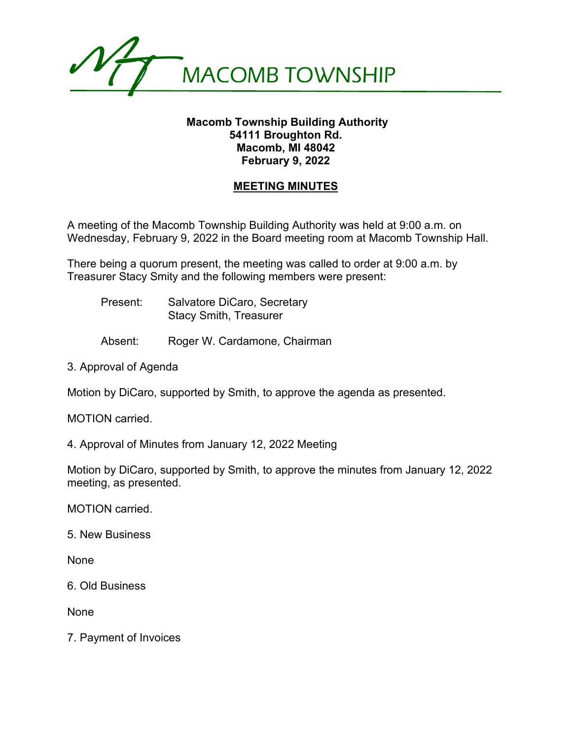

## **Macomb Township Building Authority 54111 Broughton Rd. Macomb, MI 48042 February 9, 2022**

## **MEETING MINUTES**

A meeting of the Macomb Township Building Authority was held at 9:00 a.m. on Wednesday, February 9, 2022 in the Board meeting room at Macomb Township Hall.

There being a quorum present, the meeting was called to order at 9:00 a.m. by Treasurer Stacy Smity and the following members were present:

Present: Salvatore DiCaro, Secretary Stacy Smith, Treasurer

Absent: Roger W. Cardamone, Chairman

3. Approval of Agenda

Motion by DiCaro, supported by Smith, to approve the agenda as presented.

MOTION carried.

4. Approval of Minutes from January 12, 2022 Meeting

Motion by DiCaro, supported by Smith, to approve the minutes from January 12, 2022 meeting, as presented.

MOTION carried.

5. New Business

None

6. Old Business

None

7. Payment of Invoices